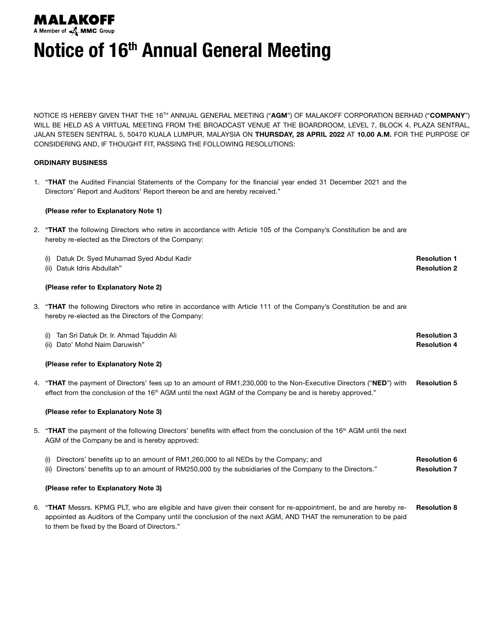

Notice of 16<sup>th</sup> Annual General Meeting

NOTICE IS HEREBY GIVEN THAT THE 16<sup>TH</sup> ANNUAL GENERAL MEETING ("AGM") OF MALAKOFF CORPORATION BERHAD ("COMPANY") WILL BE HELD AS A VIRTUAL MEETING FROM THE BROADCAST VENUE AT THE BOARDROOM, LEVEL 7, BLOCK 4, PLAZA SENTRAL, JALAN STESEN SENTRAL 5, 50470 KUALA LUMPUR, MALAYSIA ON THURSDAY, 28 APRIL 2022 AT 10.00 A.M. FOR THE PURPOSE OF CONSIDERING AND, IF THOUGHT FIT, PASSING THE FOLLOWING RESOLUTIONS:

# ORDINARY BUSINESS

1. "THAT the Audited Financial Statements of the Company for the financial year ended 31 December 2021 and the Directors' Report and Auditors' Report thereon be and are hereby received."

# (Please refer to Explanatory Note 1)

- 2. "THAT the following Directors who retire in accordance with Article 105 of the Company's Constitution be and are hereby re-elected as the Directors of the Company:
	- (i) Datuk Dr. Syed Muhamad Syed Abdul Kadir (ii) Datuk Idris Abdullah" Resolution 1 Resolution 2

## (Please refer to Explanatory Note 2)

3. "THAT the following Directors who retire in accordance with Article 111 of the Company's Constitution be and are hereby re-elected as the Directors of the Company:

| (i) Tan Sri Datuk Dr. Ir. Ahmad Tajuddin Ali | <b>Resolution 3</b> |
|----------------------------------------------|---------------------|
| (ii) Dato' Mohd Naim Daruwish"               | <b>Resolution 4</b> |

#### (Please refer to Explanatory Note 2)

4. "THAT the payment of Directors' fees up to an amount of RM1,230,000 to the Non-Executive Directors ("NED") with effect from the conclusion of the 16<sup>th</sup> AGM until the next AGM of the Company be and is hereby approved." Resolution 5

# (Please refer to Explanatory Note 3)

- 5. "THAT the payment of the following Directors' benefits with effect from the conclusion of the 16<sup>th</sup> AGM until the next AGM of the Company be and is hereby approved:
	- (i) Directors' benefits up to an amount of RM1,260,000 to all NEDs by the Company; and (ii) Directors' benefits up to an amount of RM250,000 by the subsidiaries of the Company to the Directors." Resolution 6 Resolution 7

#### (Please refer to Explanatory Note 3)

6. "THAT Messrs. KPMG PLT, who are eligible and have given their consent for re-appointment, be and are hereby reappointed as Auditors of the Company until the conclusion of the next AGM, AND THAT the remuneration to be paid to them be fixed by the Board of Directors." Resolution 8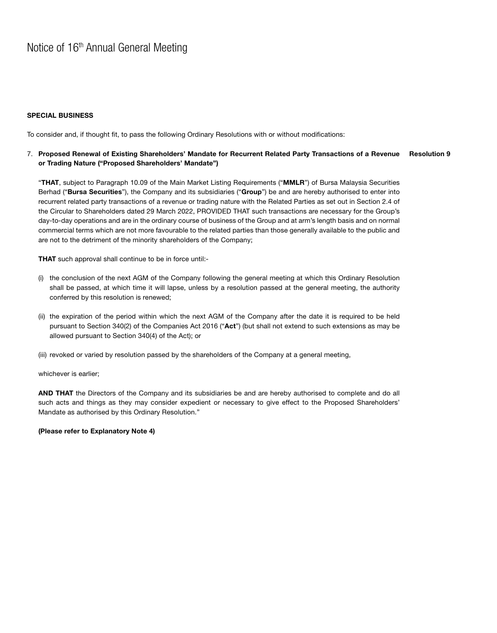#### SPECIAL BUSINESS

To consider and, if thought fit, to pass the following Ordinary Resolutions with or without modifications:

#### Resolution 9 7. Proposed Renewal of Existing Shareholders' Mandate for Recurrent Related Party Transactions of a Revenue or Trading Nature ("Proposed Shareholders' Mandate")

"THAT, subject to Paragraph 10.09 of the Main Market Listing Requirements ("MMLR") of Bursa Malaysia Securities Berhad ("Bursa Securities"), the Company and its subsidiaries ("Group") be and are hereby authorised to enter into recurrent related party transactions of a revenue or trading nature with the Related Parties as set out in Section 2.4 of the Circular to Shareholders dated 29 March 2022, PROVIDED THAT such transactions are necessary for the Group's day-to-day operations and are in the ordinary course of business of the Group and at arm's length basis and on normal commercial terms which are not more favourable to the related parties than those generally available to the public and are not to the detriment of the minority shareholders of the Company;

THAT such approval shall continue to be in force until:-

- (i) the conclusion of the next AGM of the Company following the general meeting at which this Ordinary Resolution shall be passed, at which time it will lapse, unless by a resolution passed at the general meeting, the authority conferred by this resolution is renewed;
- (ii) the expiration of the period within which the next AGM of the Company after the date it is required to be held pursuant to Section 340(2) of the Companies Act 2016 ("Act") (but shall not extend to such extensions as may be allowed pursuant to Section 340(4) of the Act); or
- (iii) revoked or varied by resolution passed by the shareholders of the Company at a general meeting,

whichever is earlier;

AND THAT the Directors of the Company and its subsidiaries be and are hereby authorised to complete and do all such acts and things as they may consider expedient or necessary to give effect to the Proposed Shareholders' Mandate as authorised by this Ordinary Resolution."

(Please refer to Explanatory Note 4)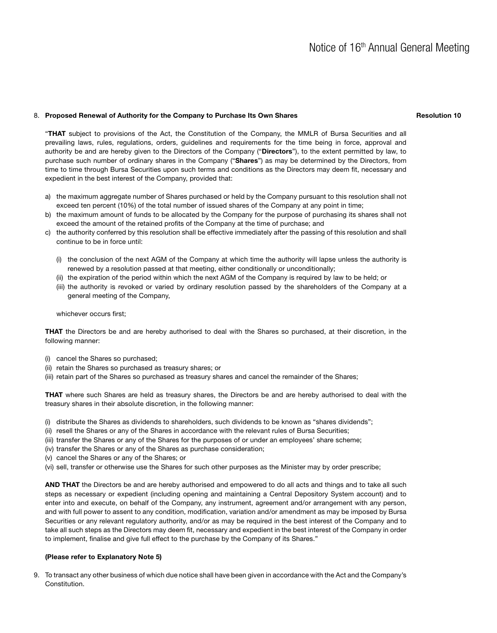## 8. Proposed Renewal of Authority for the Company to Purchase Its Own Shares

#### Resolution 10

"THAT subject to provisions of the Act, the Constitution of the Company, the MMLR of Bursa Securities and all prevailing laws, rules, regulations, orders, guidelines and requirements for the time being in force, approval and authority be and are hereby given to the Directors of the Company ("Directors"), to the extent permitted by law, to purchase such number of ordinary shares in the Company ("Shares") as may be determined by the Directors, from time to time through Bursa Securities upon such terms and conditions as the Directors may deem fit, necessary and expedient in the best interest of the Company, provided that:

- a) the maximum aggregate number of Shares purchased or held by the Company pursuant to this resolution shall not exceed ten percent (10%) of the total number of issued shares of the Company at any point in time;
- b) the maximum amount of funds to be allocated by the Company for the purpose of purchasing its shares shall not exceed the amount of the retained profits of the Company at the time of purchase; and
- c) the authority conferred by this resolution shall be effective immediately after the passing of this resolution and shall continue to be in force until:
	- (i) the conclusion of the next AGM of the Company at which time the authority will lapse unless the authority is renewed by a resolution passed at that meeting, either conditionally or unconditionally;
	- (ii) the expiration of the period within which the next AGM of the Company is required by law to be held; or
	- (iii) the authority is revoked or varied by ordinary resolution passed by the shareholders of the Company at a general meeting of the Company,

whichever occurs first;

THAT the Directors be and are hereby authorised to deal with the Shares so purchased, at their discretion, in the following manner:

- (i) cancel the Shares so purchased;
- (ii) retain the Shares so purchased as treasury shares; or
- (iii) retain part of the Shares so purchased as treasury shares and cancel the remainder of the Shares;

THAT where such Shares are held as treasury shares, the Directors be and are hereby authorised to deal with the treasury shares in their absolute discretion, in the following manner:

- (i) distribute the Shares as dividends to shareholders, such dividends to be known as "shares dividends";
- (ii) resell the Shares or any of the Shares in accordance with the relevant rules of Bursa Securities;
- (iii) transfer the Shares or any of the Shares for the purposes of or under an employees' share scheme;
- (iv) transfer the Shares or any of the Shares as purchase consideration;
- (v) cancel the Shares or any of the Shares; or
- (vi) sell, transfer or otherwise use the Shares for such other purposes as the Minister may by order prescribe;

AND THAT the Directors be and are hereby authorised and empowered to do all acts and things and to take all such steps as necessary or expedient (including opening and maintaining a Central Depository System account) and to enter into and execute, on behalf of the Company, any instrument, agreement and/or arrangement with any person, and with full power to assent to any condition, modification, variation and/or amendment as may be imposed by Bursa Securities or any relevant regulatory authority, and/or as may be required in the best interest of the Company and to take all such steps as the Directors may deem fit, necessary and expedient in the best interest of the Company in order to implement, finalise and give full effect to the purchase by the Company of its Shares."

## (Please refer to Explanatory Note 5)

9. To transact any other business of which due notice shall have been given in accordance with the Act and the Company's Constitution.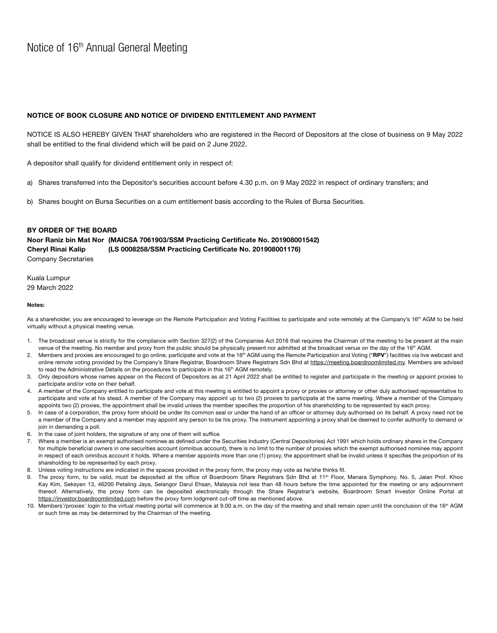# NOTICE OF BOOK CLOSURE AND NOTICE OF DIVIDEND ENTITLEMENT AND PAYMENT

NOTICE IS ALSO HEREBY GIVEN THAT shareholders who are registered in the Record of Depositors at the close of business on 9 May 2022 shall be entitled to the final dividend which will be paid on 2 June 2022.

A depositor shall qualify for dividend entitlement only in respect of:

- a) Shares transferred into the Depositor's securities account before 4.30 p.m. on 9 May 2022 in respect of ordinary transfers; and
- b) Shares bought on Bursa Securities on a cum entitlement basis according to the Rules of Bursa Securities.

## BY ORDER OF THE BOARD

Noor Raniz bin Mat Nor (MAICSA 7061903/SSM Practicing Certificate No. 201908001542) Cheryl Rinai Kalip (LS 0008258/SSM Practicing Certificate No. 201908001176) Company Secretaries

Kuala Lumpur 29 March 2022

#### Notes:

As a shareholder, you are encouraged to leverage on the Remote Participation and Voting Facilities to participate and vote remotely at the Company's 16<sup>th</sup> AGM to be held virtually without a physical meeting venue.

- 1. The broadcast venue is strictly for the compliance with Section 327(2) of the Companies Act 2016 that requires the Chairman of the meeting to be present at the main venue of the meeting. No member and proxy from the public should be physically present nor admitted at the broadcast venue on the day of the 16<sup>th</sup> AGM.
- 2. Members and proxies are encouraged to go online, participate and vote at the 16<sup>th</sup> AGM using the Remote Participation and Voting ("RPV") facilities via live webcast and online remote voting provided by the Company's Share Registrar, Boardroom Share Registrars Sdn Bhd at https://meeting.boardroomlimited.my. Members are advised to read the Administrative Details on the procedures to participate in this 16<sup>th</sup> AGM remotely.
- 3. Only depositors whose names appear on the Record of Depositors as at 21 April 2022 shall be entitled to register and participate in the meeting or appoint proxies to participate and/or vote on their behalf.
- 4. A member of the Company entitled to participate and vote at this meeting is entitled to appoint a proxy or proxies or attorney or other duly authorised representative to participate and vote at his stead. A member of the Company may appoint up to two (2) proxies to participate at the same meeting. Where a member of the Company appoints two (2) proxies, the appointment shall be invalid unless the member specifies the proportion of his shareholding to be represented by each proxy.
- 5. In case of a corporation, the proxy form should be under its common seal or under the hand of an officer or attorney duly authorised on its behalf. A proxy need not be a member of the Company and a member may appoint any person to be his proxy. The instrument appointing a proxy shall be deemed to confer authority to demand or join in demanding a poll.
- In the case of joint holders, the signature of any one of them will suffice.
- 7. Where a member is an exempt authorised nominee as defined under the Securities Industry (Central Depositories) Act 1991 which holds ordinary shares in the Company for multiple beneficial owners in one securities account (omnibus account), there is no limit to the number of proxies which the exempt authorised nominee may appoint in respect of each omnibus account it holds. Where a member appoints more than one (1) proxy, the appointment shall be invalid unless it specifies the proportion of its shareholding to be represented by each proxy.
- 8. Unless voting instructions are indicated in the spaces provided in the proxy form, the proxy may vote as he/she thinks fit.
- The proxy form, to be valid, must be deposited at the office of Boardroom Share Registrars Sdn Bhd at 11<sup>th</sup> Floor, Menara Symphony, No. 5, Jalan Prof. Khoo Kay Kim, Seksyen 13, 46200 Petaling Jaya, Selangor Darul Ehsan, Malaysia not less than 48 hours before the time appointed for the meeting or any adjournment thereof. Alternatively, the proxy form can be deposited electronically through the Share Registrar's website, Boardroom Smart Investor Online Portal at https://investor.boardroomlimited.com before the proxy form lodgment cut-off time as mentioned above.
- 10. Members'/proxies' login to the virtual meeting portal will commence at 9.00 a.m. on the day of the meeting and shall remain open until the conclusion of the 16<sup>th</sup> AGM or such time as may be determined by the Chairman of the meeting.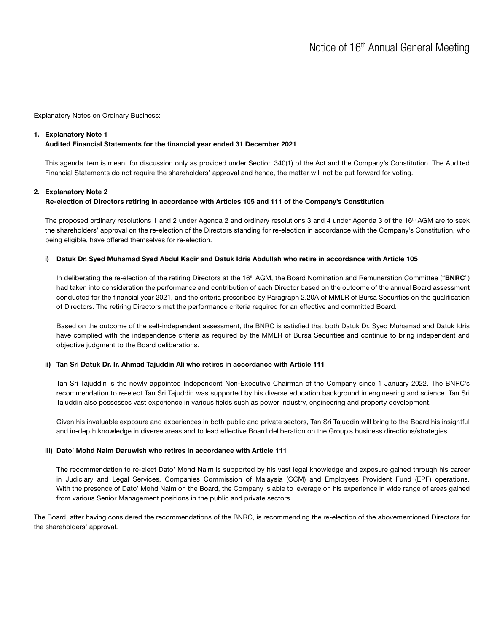Explanatory Notes on Ordinary Business:

## 1. Explanatory Note 1

# Audited Financial Statements for the financial year ended 31 December 2021

This agenda item is meant for discussion only as provided under Section 340(1) of the Act and the Company's Constitution. The Audited Financial Statements do not require the shareholders' approval and hence, the matter will not be put forward for voting.

# 2. Explanatory Note 2

## Re-election of Directors retiring in accordance with Articles 105 and 111 of the Company's Constitution

The proposed ordinary resolutions 1 and 2 under Agenda 2 and ordinary resolutions 3 and 4 under Agenda 3 of the 16<sup>th</sup> AGM are to seek the shareholders' approval on the re-election of the Directors standing for re-election in accordance with the Company's Constitution, who being eligible, have offered themselves for re-election.

#### i) Datuk Dr. Syed Muhamad Syed Abdul Kadir and Datuk Idris Abdullah who retire in accordance with Article 105

In deliberating the re-election of the retiring Directors at the 16<sup>th</sup> AGM, the Board Nomination and Remuneration Committee ("BNRC") had taken into consideration the performance and contribution of each Director based on the outcome of the annual Board assessment conducted for the financial year 2021, and the criteria prescribed by Paragraph 2.20A of MMLR of Bursa Securities on the qualification of Directors. The retiring Directors met the performance criteria required for an effective and committed Board.

Based on the outcome of the self-independent assessment, the BNRC is satisfied that both Datuk Dr. Syed Muhamad and Datuk Idris have complied with the independence criteria as required by the MMLR of Bursa Securities and continue to bring independent and objective judgment to the Board deliberations.

#### ii) Tan Sri Datuk Dr. Ir. Ahmad Tajuddin Ali who retires in accordance with Article 111

Tan Sri Tajuddin is the newly appointed Independent Non-Executive Chairman of the Company since 1 January 2022. The BNRC's recommendation to re-elect Tan Sri Tajuddin was supported by his diverse education background in engineering and science. Tan Sri Tajuddin also possesses vast experience in various fields such as power industry, engineering and property development.

Given his invaluable exposure and experiences in both public and private sectors, Tan Sri Tajuddin will bring to the Board his insightful and in-depth knowledge in diverse areas and to lead effective Board deliberation on the Group's business directions/strategies.

#### iii) Dato' Mohd Naim Daruwish who retires in accordance with Article 111

The recommendation to re-elect Dato' Mohd Naim is supported by his vast legal knowledge and exposure gained through his career in Judiciary and Legal Services, Companies Commission of Malaysia (CCM) and Employees Provident Fund (EPF) operations. With the presence of Dato' Mohd Naim on the Board, the Company is able to leverage on his experience in wide range of areas gained from various Senior Management positions in the public and private sectors.

The Board, after having considered the recommendations of the BNRC, is recommending the re-election of the abovementioned Directors for the shareholders' approval.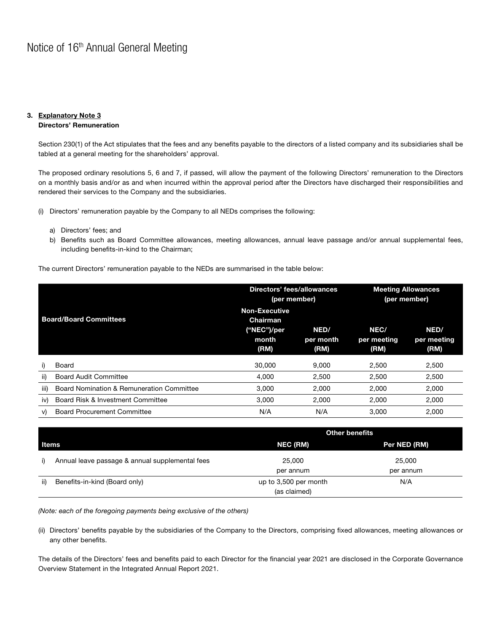#### 3. Explanatory Note 3 Directors' Remuneration

Section 230(1) of the Act stipulates that the fees and any benefits payable to the directors of a listed company and its subsidiaries shall be tabled at a general meeting for the shareholders' approval.

The proposed ordinary resolutions 5, 6 and 7, if passed, will allow the payment of the following Directors' remuneration to the Directors on a monthly basis and/or as and when incurred within the approval period after the Directors have discharged their responsibilities and rendered their services to the Company and the subsidiaries.

(i) Directors' remuneration payable by the Company to all NEDs comprises the following:

- a) Directors' fees; and
- b) Benefits such as Board Committee allowances, meeting allowances, annual leave passage and/or annual supplemental fees, including benefits-in-kind to the Chairman;

The current Directors' remuneration payable to the NEDs are summarised in the table below:

| <b>Board/Board Committees</b> |                                           | Directors' fees/allowances<br>(per member)                        |                           | <b>Meeting Allowances</b><br>(per member) |                             |
|-------------------------------|-------------------------------------------|-------------------------------------------------------------------|---------------------------|-------------------------------------------|-----------------------------|
|                               |                                           | <b>Non-Executive</b><br>Chairman<br>("NEC")/per<br>month.<br>(RM) | NED/<br>per month<br>(RM) | NEC/<br>per meeting<br>(RM)               | NED/<br>per meeting<br>(RM) |
|                               |                                           |                                                                   |                           |                                           |                             |
| i)                            | Board                                     | 30,000                                                            | 9.000                     | 2,500                                     | 2,500                       |
| ii)                           | <b>Board Audit Committee</b>              | 4,000                                                             | 2,500                     | 2,500                                     | 2,500                       |
| iii)                          | Board Nomination & Remuneration Committee | 3.000                                                             | 2.000                     | 2,000                                     | 2,000                       |
| iv)                           | Board Risk & Investment Committee         | 3.000                                                             | 2.000                     | 2,000                                     | 2,000                       |
| V)                            | <b>Board Procurement Committee</b>        | N/A                                                               | N/A                       | 3.000                                     | 2,000                       |

|       |                                                 | <b>Other benefits</b>                        |                     |  |
|-------|-------------------------------------------------|----------------------------------------------|---------------------|--|
| Items |                                                 | NEC (RM)                                     | Per NED (RM)        |  |
| i)    | Annual leave passage & annual supplemental fees | 25,000<br>per annum                          | 25,000<br>per annum |  |
| ii)   | Benefits-in-kind (Board only)                   | N/A<br>up to 3,500 per month<br>(as claimed) |                     |  |

*(Note: each of the foregoing payments being exclusive of the others)*

(ii) Directors' benefits payable by the subsidiaries of the Company to the Directors, comprising fixed allowances, meeting allowances or any other benefits.

The details of the Directors' fees and benefits paid to each Director for the financial year 2021 are disclosed in the Corporate Governance Overview Statement in the Integrated Annual Report 2021.